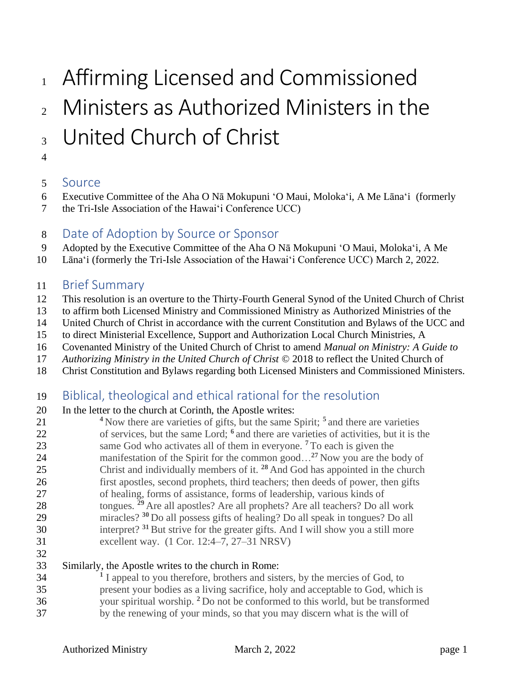# 1 Affirming Licensed and Commissioned

# Ministers as Authorized Ministers in the <sub>3</sub> United Church of Christ

## 

### Source

- Executive Committee of the Aha O Nā Mokupuni 'O Maui, Moloka'i, A Me Lāna'i (formerly
- the Tri-Isle Association of the Hawai'i Conference UCC)
- Date of Adoption by Source or Sponsor
- Adopted by the Executive Committee of the Aha O Nā Mokupuni 'O Maui, Moloka'i, A Me
- Lāna'i (formerly the Tri-Isle Association of the Hawai'i Conference UCC) March 2, 2022.

## Brief Summary

- This resolution is an overture to the Thirty-Fourth General Synod of the United Church of Christ
- to affirm both Licensed Ministry and Commissioned Ministry as Authorized Ministries of the
- United Church of Christ in accordance with the current Constitution and Bylaws of the UCC and
- to direct Ministerial Excellence, Support and Authorization Local Church Ministries, A
- Covenanted Ministry of the United Church of Christ to amend *Manual on Ministry: A Guide to*
- *Authorizing Ministry in the United Church of Christ* © 2018 to reflect the United Church of
- Christ Constitution and Bylaws regarding both Licensed Ministers and Commissioned Ministers.

# Biblical, theological and ethical rational for the resolution

- In the letter to the church at Corinth, the Apostle writes:
- <sup>4</sup> Now there are varieties of gifts, but the same Spirit; <sup>5</sup> and there are varieties 22 of services, but the same Lord; <sup>6</sup> and there are varieties of activities, but it is the 23 same God who activates all of them in everyone. <sup>7</sup> To each is given the 24 manifestation of the Spirit for the common good...<sup>27</sup> Now you are the body of 25 Christ and individually members of it. <sup>28</sup> And God has appointed in the church first apostles, second prophets, third teachers; then deeds of power, then gifts of healing, forms of assistance, forms of leadership, various kinds of 28 tongues. <sup>29</sup> Are all apostles? Are all prophets? Are all teachers? Do all work miracles? **<sup>30</sup>** Do all possess gifts of healing? Do all speak in tongues? Do all 30 interpret? <sup>31</sup> But strive for the greater gifts. And I will show you a still more excellent way. (1 Cor. 12:4–7, 27–31 NRSV)
- 

#### Similarly, the Apostle writes to the church in Rome:

<sup>1</sup> I appeal to you therefore, brothers and sisters, by the mercies of God, to present your bodies as a living sacrifice, holy and acceptable to God, which is 36 your spiritual worship. <sup>2</sup> Do not be conformed to this world, but be transformed by the renewing of your minds, so that you may discern what is the will of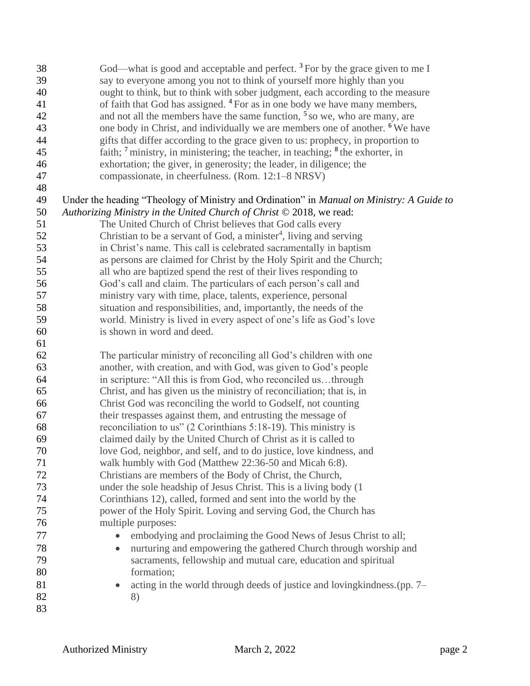| 38 | God—what is good and acceptable and perfect. $3$ For by the grace given to me I                       |
|----|-------------------------------------------------------------------------------------------------------|
| 39 | say to everyone among you not to think of yourself more highly than you                               |
| 40 | ought to think, but to think with sober judgment, each according to the measure                       |
| 41 | of faith that God has assigned. <sup>4</sup> For as in one body we have many members,                 |
| 42 | and not all the members have the same function, $5$ so we, who are many, are                          |
| 43 | one body in Christ, and individually we are members one of another. <sup>6</sup> We have              |
| 44 | gifts that differ according to the grace given to us: prophecy, in proportion to                      |
| 45 | faith; <sup>7</sup> ministry, in ministering; the teacher, in teaching; <sup>8</sup> the exhorter, in |
| 46 | exhortation; the giver, in generosity; the leader, in diligence; the                                  |
| 47 | compassionate, in cheerfulness. (Rom. 12:1–8 NRSV)                                                    |
| 48 |                                                                                                       |
| 49 | Under the heading "Theology of Ministry and Ordination" in Manual on Ministry: A Guide to             |
| 50 | Authorizing Ministry in the United Church of Christ $\odot$ 2018, we read:                            |
| 51 | The United Church of Christ believes that God calls every                                             |
| 52 | Christian to be a servant of God, a minister <sup>4</sup> , living and serving                        |
| 53 | in Christ's name. This call is celebrated sacramentally in baptism                                    |
| 54 | as persons are claimed for Christ by the Holy Spirit and the Church;                                  |
| 55 | all who are baptized spend the rest of their lives responding to                                      |
| 56 | God's call and claim. The particulars of each person's call and                                       |
| 57 | ministry vary with time, place, talents, experience, personal                                         |
| 58 | situation and responsibilities, and, importantly, the needs of the                                    |
| 59 | world. Ministry is lived in every aspect of one's life as God's love                                  |
| 60 | is shown in word and deed.                                                                            |
| 61 |                                                                                                       |
| 62 | The particular ministry of reconciling all God's children with one                                    |
| 63 | another, with creation, and with God, was given to God's people                                       |
| 64 | in scripture: "All this is from God, who reconciled usthrough                                         |
| 65 | Christ, and has given us the ministry of reconciliation; that is, in                                  |
| 66 | Christ God was reconciling the world to Godself, not counting                                         |
| 67 | their trespasses against them, and entrusting the message of                                          |
| 68 | reconciliation to us" (2 Corinthians 5:18-19). This ministry is                                       |
| 69 | claimed daily by the United Church of Christ as it is called to                                       |
| 70 | love God, neighbor, and self, and to do justice, love kindness, and                                   |
| 71 | walk humbly with God (Matthew 22:36-50 and Micah 6:8).                                                |
| 72 | Christians are members of the Body of Christ, the Church,                                             |
| 73 | under the sole headship of Jesus Christ. This is a living body (1)                                    |
| 74 | Corinthians 12), called, formed and sent into the world by the                                        |
| 75 | power of the Holy Spirit. Loving and serving God, the Church has                                      |
| 76 | multiple purposes:                                                                                    |
| 77 | embodying and proclaiming the Good News of Jesus Christ to all;                                       |
| 78 | nurturing and empowering the gathered Church through worship and<br>$\bullet$                         |
| 79 | sacraments, fellowship and mutual care, education and spiritual                                       |
| 80 | formation;                                                                                            |
| 81 | acting in the world through deeds of justice and loving kindness. (pp. 7–<br>$\bullet$                |
| 82 | 8)                                                                                                    |
| 83 |                                                                                                       |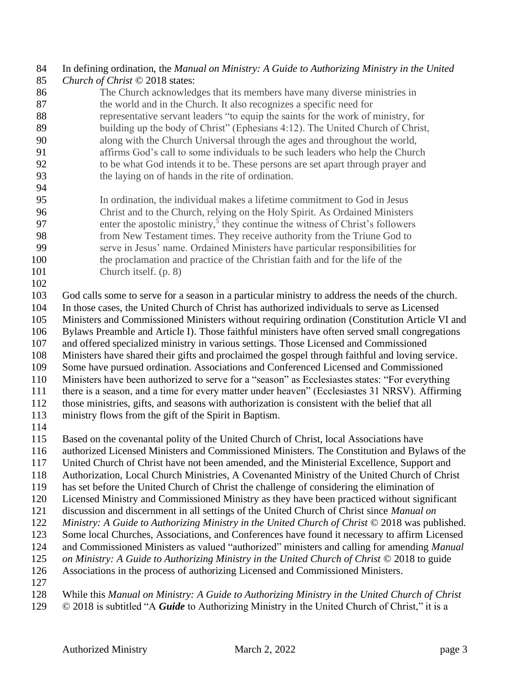## In defining ordination, the *Manual on Ministry: A Guide to Authorizing Ministry in the United*

- *Church of Christ* © 2018 states:
- The Church acknowledges that its members have many diverse ministries in the world and in the Church. It also recognizes a specific need for representative servant leaders "to equip the saints for the work of ministry, for building up the body of Christ" (Ephesians 4:12). The United Church of Christ, along with the Church Universal through the ages and throughout the world, affirms God's call to some individuals to be such leaders who help the Church to be what God intends it to be. These persons are set apart through prayer and the laying on of hands in the rite of ordination.
- 
- In ordination, the individual makes a lifetime commitment to God in Jesus Christ and to the Church, relying on the Holy Spirit. As Ordained Ministers 97 enter the apostolic ministry,<sup>5</sup> they continue the witness of Christ's followers from New Testament times. They receive authority from the Triune God to serve in Jesus' name. Ordained Ministers have particular responsibilities for the proclamation and practice of the Christian faith and for the life of the Church itself. (p. 8)
- 

God calls some to serve for a season in a particular ministry to address the needs of the church.

In those cases, the United Church of Christ has authorized individuals to serve as Licensed

 Ministers and Commissioned Ministers without requiring ordination (Constitution Article VI and Bylaws Preamble and Article I). Those faithful ministers have often served small congregations

and offered specialized ministry in various settings. Those Licensed and Commissioned

Ministers have shared their gifts and proclaimed the gospel through faithful and loving service.

Some have pursued ordination. Associations and Conferenced Licensed and Commissioned

Ministers have been authorized to serve for a "season" as Ecclesiastes states: "For everything

there is a season, and a time for every matter under heaven" (Ecclesiastes 31 NRSV). Affirming

those ministries, gifts, and seasons with authorization is consistent with the belief that all

ministry flows from the gift of the Spirit in Baptism.

Based on the covenantal polity of the United Church of Christ, local Associations have

authorized Licensed Ministers and Commissioned Ministers. The Constitution and Bylaws of the

- United Church of Christ have not been amended, and the Ministerial Excellence, Support and
- Authorization, Local Church Ministries, A Covenanted Ministry of the United Church of Christ

has set before the United Church of Christ the challenge of considering the elimination of

Licensed Ministry and Commissioned Ministry as they have been practiced without significant

discussion and discernment in all settings of the United Church of Christ since *Manual on* 

*Ministry: A Guide to Authorizing Ministry in the United Church of Christ* © 2018 was published.

Some local Churches, Associations, and Conferences have found it necessary to affirm Licensed

and Commissioned Ministers as valued "authorized" ministers and calling for amending *Manual* 

*on Ministry: A Guide to Authorizing Ministry in the United Church of Christ* © 2018 to guide

Associations in the process of authorizing Licensed and Commissioned Ministers.

While this *Manual on Ministry: A Guide to Authorizing Ministry in the United Church of Christ*

© 2018 is subtitled "A *Guide* to Authorizing Ministry in the United Church of Christ," it is a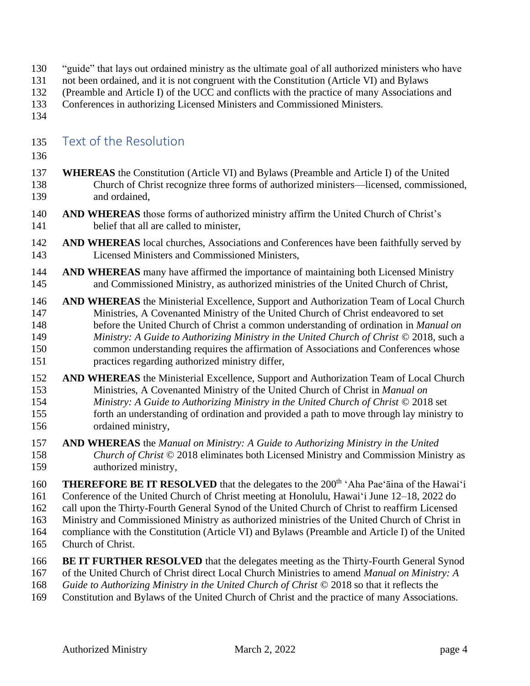- "guide" that lays out ordained ministry as the ultimate goal of all authorized ministers who have
- not been ordained, and it is not congruent with the Constitution (Article VI) and Bylaws
- (Preamble and Article I) of the UCC and conflicts with the practice of many Associations and
- Conferences in authorizing Licensed Ministers and Commissioned Ministers.
- 

### Text of the Resolution

- 
- **WHEREAS** the Constitution (Article VI) and Bylaws (Preamble and Article I) of the United Church of Christ recognize three forms of authorized ministers—licensed, commissioned, and ordained,
- **AND WHEREAS** those forms of authorized ministry affirm the United Church of Christ's belief that all are called to minister,
- **AND WHEREAS** local churches, Associations and Conferences have been faithfully served by Licensed Ministers and Commissioned Ministers,
- **AND WHEREAS** many have affirmed the importance of maintaining both Licensed Ministry and Commissioned Ministry, as authorized ministries of the United Church of Christ,
- **AND WHEREAS** the Ministerial Excellence, Support and Authorization Team of Local Church Ministries, A Covenanted Ministry of the United Church of Christ endeavored to set before the United Church of Christ a common understanding of ordination in *Manual on Ministry: A Guide to Authorizing Ministry in the United Church of Christ* © 2018, such a common understanding requires the affirmation of Associations and Conferences whose practices regarding authorized ministry differ,
- **AND WHEREAS** the Ministerial Excellence, Support and Authorization Team of Local Church Ministries, A Covenanted Ministry of the United Church of Christ in *Manual on Ministry: A Guide to Authorizing Ministry in the United Church of Christ* © 2018 set forth an understanding of ordination and provided a path to move through lay ministry to ordained ministry,
- **AND WHEREAS** the *Manual on Ministry: A Guide to Authorizing Ministry in the United Church of Christ* © 2018 eliminates both Licensed Ministry and Commission Ministry as authorized ministry,
- **THEREFORE BE IT RESOLVED** that the delegates to the 200<sup>th</sup> 'Aha Pae'āina of the Hawai'i Conference of the United Church of Christ meeting at Honolulu, Hawai'i June 12–18, 2022 do call upon the Thirty-Fourth General Synod of the United Church of Christ to reaffirm Licensed Ministry and Commissioned Ministry as authorized ministries of the United Church of Christ in compliance with the Constitution (Article VI) and Bylaws (Preamble and Article I) of the United
- Church of Christ.
- **BE IT FURTHER RESOLVED** that the delegates meeting as the Thirty-Fourth General Synod
- of the United Church of Christ direct Local Church Ministries to amend *Manual on Ministry: A*
- *Guide to Authorizing Ministry in the United Church of Christ* © 2018 so that it reflects the
- Constitution and Bylaws of the United Church of Christ and the practice of many Associations.